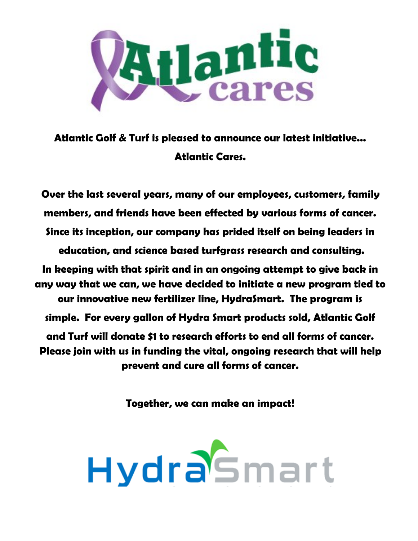

**Atlantic Golf & Turf is pleased to announce our latest initiative... Atlantic Cares.**

**Over the last several years, many of our employees, customers, family members, and friends have been effected by various forms of cancer. Since its inception, our company has prided itself on being leaders in education, and science based turfgrass research and consulting. In keeping with that spirit and in an ongoing attempt to give back in any way that we can, we have decided to initiate a new program tied to our innovative new fertilizer line, HydraSmart. The program is simple. For every gallon of Hydra Smart products sold, Atlantic Golf and Turf will donate \$1 to research efforts to end all forms of cancer. Please join with us in funding the vital, ongoing research that will help prevent and cure all forms of cancer.** 

**Together, we can make an impact!**

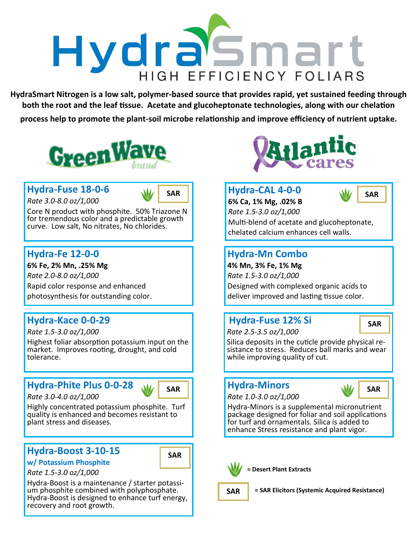

**HydraSmart Nitrogen is a low salt, polymer-based source that provides rapid, yet sustained feeding through both the root and the leaf tissue. Acetate and glucoheptonate technologies, along with our chelation process help to promote the plant-soil microbe relationship and improve efficiency of nutrient uptake.** 



## **Hydra-Fuse 18-0-6**

*Rate 3.0-8.0 oz/1,000*

Core N product with phosphite. 50% Triazone N for tremendous color and a predictable growth curve. Low salt, No nitrates, No chlorides.

### **Hydra-Fe 12-0-0**

**6% Fe, 2% Mn, .25% Mg** *Rate 2.0-8.0 oz/1,000* Rapid color response and enhanced photosynthesis for outstanding color.

### **Hydra-Kace 0-0-29**

*Rate 1.5-3.0 oz/1,000*

Highest foliar absorption potassium input on the market. Improves rooting, drought, and cold tolerance.

# **Hydra-Phite Plus 0-0-28**

*Rate 3.0-4.0 oz/1,000*



Highly concentrated potassium phosphite. Turf quality is enhanced and becomes resistant to plant stress and diseases.

### **Hydra-Boost 3-10-15**



#### **w/ Potassium Phosphite** *Rate 1.5-3.0 oz/1,000*

recovery and root growth.

Hydra-Boost is a maintenance / starter potassium phosphite combined with polyphosphate. Hydra-Boost is designed to enhance turf energy,



### **SAR Hydra-CAL 4-0-0**



**6% Ca, 1% Mg, .02% B** *Rate 1.5-3.0 oz/1,000* Multi-blend of acetate and glucoheptonate, chelated calcium enhances cell walls.

### **Hydra-Mn Combo**

**4% Mn, 3% Fe, 1% Mg** *Rate 1.5-3.0 oz/1,000* Designed with complexed organic acids to deliver improved and lasting tissue color.

### **Hydra-Fuse 12% Si**

*Rate 2.5-3.5 oz/1,000*

**SAR**

Silica deposits in the cuticle provide physical resistance to stress. Reduces ball marks and wear while improving quality of cut.

### **Hydra-Minors**



*Rate 1.0-3.0 oz/1,000*

Hydra-Minors is a supplemental micronutrient package designed for foliar and soil applications for turf and ornamentals. Silica is added to enhance Stress resistance and plant vigor.



**Desert Plant Extracts** 

**SAR = SAR Elicitors (Systemic Acquired Resistance)**